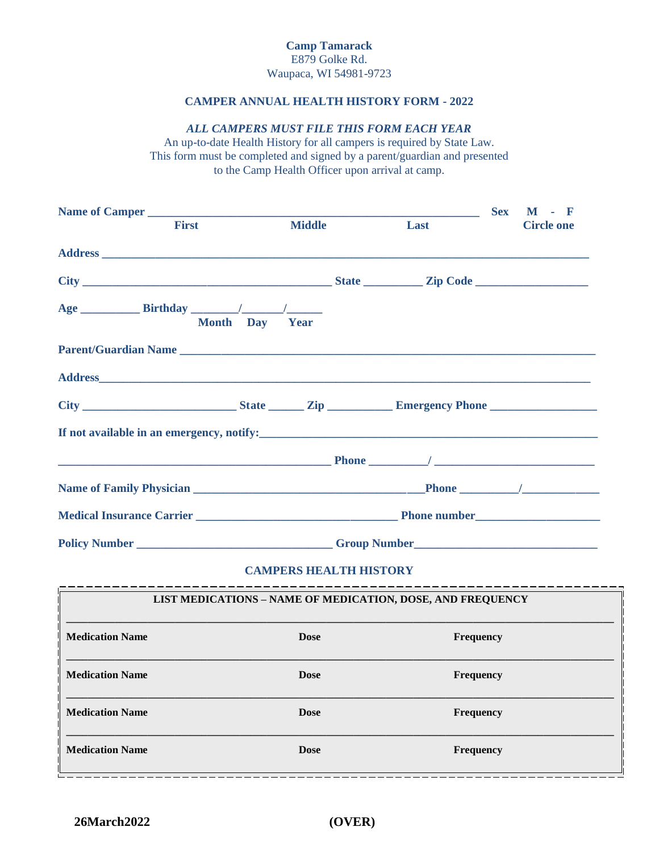## **CAMPER ANNUAL HEALTH HISTORY FORM - 2022**

### *ALL CAMPERS MUST FILE THIS FORM EACH YEAR*

An up-to-date Health History for all campers is required by State Law. This form must be completed and signed by a parent/guardian and presented to the Camp Health Officer upon arrival at camp.

|                                                                                               | <b>First Exercise 18</b>                                                          |  | <b>Middle</b> | <b>Last</b> the contract of the contract of the contract of the contract of the contract of the contract of the contract of the contract of the contract of the contract of the contract of the contract of the contract of the con | <b>Circle one</b> |
|-----------------------------------------------------------------------------------------------|-----------------------------------------------------------------------------------|--|---------------|-------------------------------------------------------------------------------------------------------------------------------------------------------------------------------------------------------------------------------------|-------------------|
|                                                                                               |                                                                                   |  |               |                                                                                                                                                                                                                                     |                   |
|                                                                                               |                                                                                   |  |               |                                                                                                                                                                                                                                     |                   |
|                                                                                               | Month Day Year                                                                    |  |               |                                                                                                                                                                                                                                     |                   |
|                                                                                               |                                                                                   |  |               |                                                                                                                                                                                                                                     |                   |
|                                                                                               |                                                                                   |  |               |                                                                                                                                                                                                                                     |                   |
|                                                                                               |                                                                                   |  |               |                                                                                                                                                                                                                                     |                   |
| If not available in an emergency, notify:<br><u>If</u> not available in an emergency, notify: |                                                                                   |  |               |                                                                                                                                                                                                                                     |                   |
|                                                                                               |                                                                                   |  |               |                                                                                                                                                                                                                                     |                   |
|                                                                                               |                                                                                   |  |               |                                                                                                                                                                                                                                     |                   |
|                                                                                               |                                                                                   |  |               |                                                                                                                                                                                                                                     |                   |
|                                                                                               | Policy Number _______________________________Group Number _______________________ |  |               |                                                                                                                                                                                                                                     |                   |

# **CAMPERS HEALTH HISTORY**

| LIST MEDICATIONS - NAME OF MEDICATION, DOSE, AND FREQUENCY |             |                  |  |  |  |
|------------------------------------------------------------|-------------|------------------|--|--|--|
| <b>Medication Name</b>                                     | <b>Dose</b> | Frequency        |  |  |  |
| <b>Medication Name</b>                                     | <b>Dose</b> | <b>Frequency</b> |  |  |  |
| <b>Medication Name</b>                                     | <b>Dose</b> | <b>Frequency</b> |  |  |  |
| <b>Medication Name</b>                                     | <b>Dose</b> | <b>Frequency</b> |  |  |  |